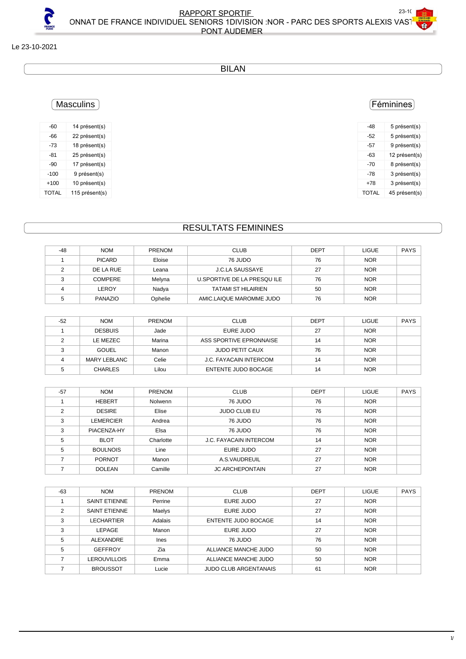### Le 23-10-2021

#### BILAN

## **Masculins**

| -60          | 14 présent(s)  |
|--------------|----------------|
| -66          | 22 présent(s)  |
| -73          | 18 présent(s)  |
| -81          | 25 présent(s)  |
| $-90$        | 17 présent(s)  |
| $-100$       | 9 présent(s)   |
| $+100$       | 10 présent(s)  |
| <b>TOTAL</b> | 115 présent(s) |

## RESULTATS FEMININES

| $-48$ | <b>NOM</b>     | <b>PRENOM</b> | <b>CLUB</b>                | <b>DEPT</b> | <b>LIGUE</b> | <b>PAYS</b> |
|-------|----------------|---------------|----------------------------|-------------|--------------|-------------|
|       | <b>PICARD</b>  | Eloise        | 76 JUDO                    | 76          | <b>NOR</b>   |             |
|       | DE LA RUE      | Leana         | J.C.LA SAUSSAYE            | 27          | <b>NOR</b>   |             |
|       | <b>COMPERE</b> | Melyna        | U.SPORTIVE DE LA PRESQUILE | 76          | <b>NOR</b>   |             |
|       | LEROY          | Nadva         | <b>TATAMI ST HILAIRIEN</b> | 50          | <b>NOR</b>   |             |
|       | PANAZIO        | Ophelie       | AMIC.LAIQUE MAROMME JUDO   | 76          | <b>NOR</b>   |             |

| $-52$ | <b>NOM</b>     | <b>PRENOM</b> | <b>CLUB</b>                   | <b>DEPT</b> | LIGUE      | <b>PAYS</b> |
|-------|----------------|---------------|-------------------------------|-------------|------------|-------------|
|       | <b>DESBUIS</b> | Jade          | EURE JUDO                     | 27          | <b>NOR</b> |             |
|       | LE MEZEC       | Marina        | ASS SPORTIVE EPRONNAISE       | 14          | <b>NOR</b> |             |
|       | GOUEL          | Manon         | JUDO PETIT CAUX               | 76          | <b>NOR</b> |             |
|       | MARY LEBLANC   | Celie         | <b>J.C. FAYACAIN INTERCOM</b> | 14          | <b>NOR</b> |             |
|       | <b>CHARLES</b> | Lilou         | ENTENTE JUDO BOCAGE           | 14          | <b>NOR</b> |             |

| $-57$ | <b>NOM</b>      | <b>PRENOM</b> | <b>CLUB</b>                   | <b>DEPT</b> | <b>LIGUE</b> | <b>PAYS</b> |
|-------|-----------------|---------------|-------------------------------|-------------|--------------|-------------|
|       | <b>HEBERT</b>   | Nolwenn       | 76 JUDO                       | 76          | <b>NOR</b>   |             |
| 2     | <b>DESIRE</b>   | Elise         | <b>JUDO CLUB EU</b>           | 76          | <b>NOR</b>   |             |
| 3     | LEMERCIER       | Andrea        | 76 JUDO                       | 76          | <b>NOR</b>   |             |
| 3     | PIACENZA-HY     | Elsa          | 76 JUDO                       | 76          | <b>NOR</b>   |             |
| 5     | <b>BLOT</b>     | Charlotte     | <b>J.C. FAYACAIN INTERCOM</b> | 14          | <b>NOR</b>   |             |
| 5     | <b>BOULNOIS</b> | Line          | EURE JUDO                     | 27          | <b>NOR</b>   |             |
|       | <b>PORNOT</b>   | Manon         | A.S.VAUDREUIL                 | 27          | <b>NOR</b>   |             |
|       | <b>DOLEAN</b>   | Camille       | <b>JC ARCHEPONTAIN</b>        | 27          | <b>NOR</b>   |             |

| $-63$ | <b>NOM</b>           | <b>PRENOM</b> | <b>CLUB</b>                  | <b>DEPT</b> | <b>LIGUE</b> | <b>PAYS</b> |
|-------|----------------------|---------------|------------------------------|-------------|--------------|-------------|
|       | <b>SAINT ETIENNE</b> | Perrine       | EURE JUDO                    | 27          | <b>NOR</b>   |             |
| ◠     | <b>SAINT ETIENNE</b> | Maelys        | EURE JUDO                    | 27          | <b>NOR</b>   |             |
| 3     | LECHARTIER           | Adalais       | <b>ENTENTE JUDO BOCAGE</b>   | 14          | <b>NOR</b>   |             |
| 3     | LEPAGE               | Manon         | EURE JUDO                    | 27          | <b>NOR</b>   |             |
| 5     | ALEXANDRE            | <b>Ines</b>   | 76 JUDO                      | 76          | <b>NOR</b>   |             |
| 5     | <b>GEFFROY</b>       | Zia           | ALLIANCE MANCHE JUDO         | 50          | <b>NOR</b>   |             |
|       | LEROUVILLOIS         | Emma          | ALLIANCE MANCHE JUDO         | 50          | <b>NOR</b>   |             |
|       | <b>BROUSSOT</b>      | Lucie         | <b>JUDO CLUB ARGENTANAIS</b> | 61          | <b>NOR</b>   |             |

## Féminines

| -48          | 5 présent(s)  |
|--------------|---------------|
| -52          | 5 présent(s)  |
| -57          | 9 présent(s)  |
| -63          | 12 présent(s) |
| -70          | 8 présent(s)  |
| $-78$        | 3 présent(s)  |
| +78          | 3 présent(s)  |
| <b>TOTAL</b> | 45 présent(s) |
|              |               |

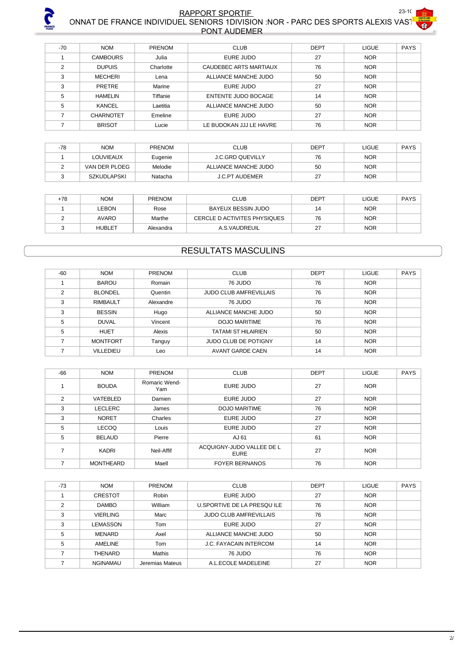

#### **RAPPORT SPORTIF AND RESOURCE A SUMPORT SPORTIFY** CHAMPION ON THE FRANCE INDIVIDUEL SENIORS 1DIVISION :NOR - PARC DES SPORTS ALEXIS VASTING  $\sim$ PONT AUDEMER

| $-70$ | <b>NOM</b>       | <b>PRENOM</b> | <b>CLUB</b>                | <b>DEPT</b> | <b>LIGUE</b> | <b>PAYS</b> |
|-------|------------------|---------------|----------------------------|-------------|--------------|-------------|
|       | <b>CAMBOURS</b>  | Julia         | EURE JUDO                  | 27          | <b>NOR</b>   |             |
| 2     | <b>DUPUIS</b>    | Charlotte     | CAUDEBEC ARTS MARTIAUX     | 76          | <b>NOR</b>   |             |
| 3     | <b>MECHERI</b>   | Lena          | ALLIANCE MANCHE JUDO       | 50          | <b>NOR</b>   |             |
| 3     | <b>PRETRE</b>    | Marine        | EURE JUDO                  | 27          | <b>NOR</b>   |             |
| 5     | <b>HAMELIN</b>   | Tiffanie      | <b>ENTENTE JUDO BOCAGE</b> | 14          | <b>NOR</b>   |             |
| 5     | KANCEL           | Laetitia      | ALLIANCE MANCHE JUDO       | 50          | <b>NOR</b>   |             |
|       | <b>CHARNOTET</b> | Emeline       | EURE JUDO                  | 27          | <b>NOR</b>   |             |
|       | <b>BRISOT</b>    | Lucie         | LE BUDOKAN JJJ LE HAVRE    | 76          | <b>NOR</b>   |             |

| $-78$ | <b>NOM</b>       | <b>PRENOM</b> | <b>CLUB</b>             | <b>DEPT</b> | LIGUE      | <b>PAYS</b> |
|-------|------------------|---------------|-------------------------|-------------|------------|-------------|
|       | <b>LOUVIEAUX</b> | Eugenie       | <b>J.C.GRD QUEVILLY</b> | 76          | <b>NOR</b> |             |
|       | VAN DER PLOEG    | Melodie       | ALLIANCE MANCHE JUDO    | 50          | <b>NOR</b> |             |
|       | SZKUDLAPSKI      | Natacha       | <b>J.C.PT AUDEMER</b>   | 27          | <b>NOR</b> |             |

| +78 | <b>NOM</b>    | <b>PRENOM</b> | <b>CLUB</b>                  | <b>DEPT</b> | LIGUE      | <b>PAYS</b> |
|-----|---------------|---------------|------------------------------|-------------|------------|-------------|
|     | LEBON         | Rose          | BAYEUX BESSIN JUDO           | 14          | <b>NOR</b> |             |
|     | <b>AVARO</b>  | Marthe        | CERCLE D ACTIVITES PHYSIQUES | 76          | <b>NOR</b> |             |
|     | <b>HUBLET</b> | Alexandra     | A.S.VAUDREUIL                | 27          | <b>NOR</b> |             |

## RESULTATS MASCULINS

| $-60$          | <b>NOM</b>       | <b>PRENOM</b> | <b>CLUB</b>                   | <b>DEPT</b> | <b>LIGUE</b> | <b>PAYS</b> |
|----------------|------------------|---------------|-------------------------------|-------------|--------------|-------------|
|                | <b>BAROU</b>     | Romain        | 76 JUDO                       | 76          | <b>NOR</b>   |             |
| $\mathfrak{p}$ | <b>BLONDEL</b>   | Quentin       | <b>JUDO CLUB AMFREVILLAIS</b> | 76          | <b>NOR</b>   |             |
| 3              | <b>RIMBAULT</b>  | Alexandre     | 76 JUDO                       | 76          | <b>NOR</b>   |             |
| 3              | <b>BESSIN</b>    | Hugo          | ALLIANCE MANCHE JUDO          | 50          | <b>NOR</b>   |             |
| 5              | <b>DUVAL</b>     | Vincent       | <b>DOJO MARITIME</b>          | 76          | <b>NOR</b>   |             |
| 5              | <b>HUET</b>      | Alexis        | <b>TATAMI ST HILAIRIEN</b>    | 50          | <b>NOR</b>   |             |
|                | <b>MONTFORT</b>  | Tanguy        | <b>JUDO CLUB DE POTIGNY</b>   | 14          | <b>NOR</b>   |             |
|                | <b>VILLEDIEU</b> | Leo           | AVANT GARDE CAEN              | 14          | <b>NOR</b>   |             |

| $-66$          | <b>NOM</b>       | <b>PRENOM</b>        | <b>CLUB</b>                       | <b>DEPT</b> | <b>LIGUE</b> | <b>PAYS</b> |
|----------------|------------------|----------------------|-----------------------------------|-------------|--------------|-------------|
|                | <b>BOUDA</b>     | Romaric Wend-<br>Yam | EURE JUDO                         | 27          | <b>NOR</b>   |             |
| $\mathfrak{p}$ | VATEBLED         | Damien               | EURE JUDO                         | 27          | <b>NOR</b>   |             |
| 3              | <b>LECLERC</b>   | James                | DOJO MARITIME                     | 76          | <b>NOR</b>   |             |
| 3              | <b>NORET</b>     | Charles              | <b>EURE JUDO</b>                  | 27          | <b>NOR</b>   |             |
| 5              | <b>LECOQ</b>     | Louis                | EURE JUDO                         | 27          | <b>NOR</b>   |             |
| 5              | <b>BELAUD</b>    | Pierre               | AJ 61                             | 61          | <b>NOR</b>   |             |
|                | <b>KADRI</b>     | Neil-Affif           | ACQUIGNY-JUDO VALLEE DE L<br>EURE | 27          | <b>NOR</b>   |             |
|                | <b>MONTHEARD</b> | Maell                | <b>FOYER BERNANOS</b>             | 76          | <b>NOR</b>   |             |

| $-73$          | <b>NOM</b>      | <b>PRENOM</b>   | <b>CLUB</b>                   | <b>DEPT</b> | <b>LIGUE</b> | <b>PAYS</b> |
|----------------|-----------------|-----------------|-------------------------------|-------------|--------------|-------------|
|                | <b>CRESTOT</b>  | Robin           | EURE JUDO                     | 27          | <b>NOR</b>   |             |
| $\mathfrak{p}$ | <b>DAMBO</b>    | William         | U.SPORTIVE DE LA PRESQUILE    | 76          | <b>NOR</b>   |             |
| 3              | <b>VIERLING</b> | Marc            | <b>JUDO CLUB AMFREVILLAIS</b> | 76          | <b>NOR</b>   |             |
| 3              | LEMASSON        | Tom             | EURE JUDO                     | 27          | <b>NOR</b>   |             |
| 5              | MENARD          | Axel            | ALLIANCE MANCHE JUDO          | 50          | <b>NOR</b>   |             |
| 5              | AMELINE         | Tom             | J.C. FAYACAIN INTERCOM        | 14          | <b>NOR</b>   |             |
|                | THENARD         | Mathis          | 76 JUDO                       | 76          | <b>NOR</b>   |             |
|                | <b>NGINAMAU</b> | Jeremias Mateus | A.L.ECOLE MADELEINE           | 27          | <b>NOR</b>   |             |